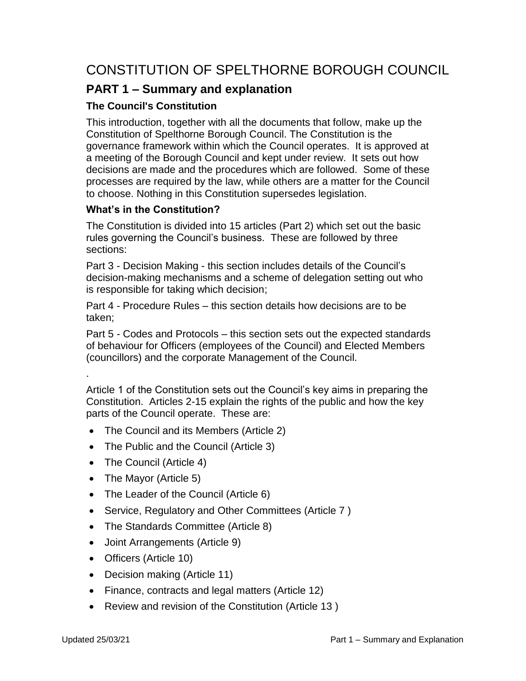# CONSTITUTION OF SPELTHORNE BOROUGH COUNCIL

# **PART 1 – Summary and explanation**

# **The Council's Constitution**

This introduction, together with all the documents that follow, make up the Constitution of Spelthorne Borough Council. The Constitution is the governance framework within which the Council operates. It is approved at a meeting of the Borough Council and kept under review. It sets out how decisions are made and the procedures which are followed. Some of these processes are required by the law, while others are a matter for the Council to choose. Nothing in this Constitution supersedes legislation.

# **What's in the Constitution?**

The Constitution is divided into 15 articles (Part 2) which set out the basic rules governing the Council's business. These are followed by three sections:

Part 3 - Decision Making - this section includes details of the Council's decision-making mechanisms and a scheme of delegation setting out who is responsible for taking which decision;

Part 4 - Procedure Rules – this section details how decisions are to be taken;

Part 5 - Codes and Protocols – this section sets out the expected standards of behaviour for Officers (employees of the Council) and Elected Members (councillors) and the corporate Management of the Council.

Article 1 of the Constitution sets out the Council's key aims in preparing the Constitution. Articles 2-15 explain the rights of the public and how the key parts of the Council operate. These are:

- The Council and its Members (Article 2)
- The Public and the Council (Article 3)
- The Council (Article 4)
- The Mayor (Article 5)
- The Leader of the Council (Article 6)
- Service, Regulatory and Other Committees (Article 7)
- The Standards Committee (Article 8)
- Joint Arrangements (Article 9)
- Officers (Article 10)
- Decision making (Article 11)
- Finance, contracts and legal matters (Article 12)
- Review and revision of the Constitution (Article 13)

.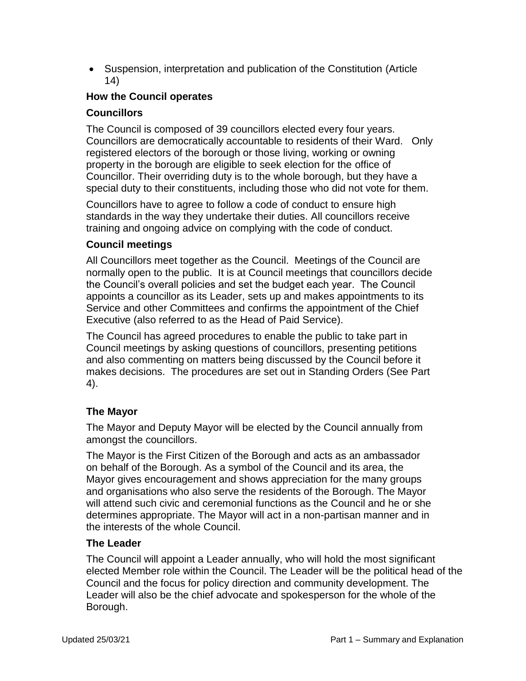Suspension, interpretation and publication of the Constitution (Article 14)

# **How the Council operates**

#### **Councillors**

The Council is composed of 39 councillors elected every four years. Councillors are democratically accountable to residents of their Ward. Only registered electors of the borough or those living, working or owning property in the borough are eligible to seek election for the office of Councillor. Their overriding duty is to the whole borough, but they have a special duty to their constituents, including those who did not vote for them.

Councillors have to agree to follow a code of conduct to ensure high standards in the way they undertake their duties. All councillors receive training and ongoing advice on complying with the code of conduct.

#### **Council meetings**

All Councillors meet together as the Council. Meetings of the Council are normally open to the public. It is at Council meetings that councillors decide the Council's overall policies and set the budget each year. The Council appoints a councillor as its Leader, sets up and makes appointments to its Service and other Committees and confirms the appointment of the Chief Executive (also referred to as the Head of Paid Service).

The Council has agreed procedures to enable the public to take part in Council meetings by asking questions of councillors, presenting petitions and also commenting on matters being discussed by the Council before it makes decisions. The procedures are set out in Standing Orders (See Part 4).

#### **The Mayor**

The Mayor and Deputy Mayor will be elected by the Council annually from amongst the councillors.

The Mayor is the First Citizen of the Borough and acts as an ambassador on behalf of the Borough. As a symbol of the Council and its area, the Mayor gives encouragement and shows appreciation for the many groups and organisations who also serve the residents of the Borough. The Mayor will attend such civic and ceremonial functions as the Council and he or she determines appropriate. The Mayor will act in a non-partisan manner and in the interests of the whole Council.

#### **The Leader**

The Council will appoint a Leader annually, who will hold the most significant elected Member role within the Council. The Leader will be the political head of the Council and the focus for policy direction and community development. The Leader will also be the chief advocate and spokesperson for the whole of the Borough.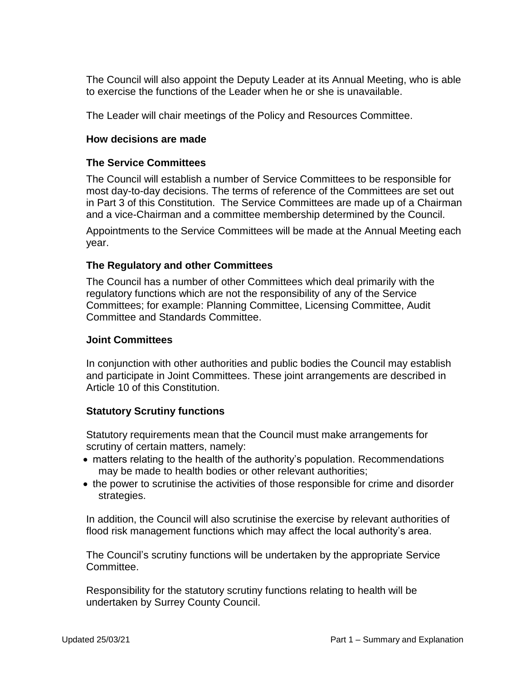The Council will also appoint the Deputy Leader at its Annual Meeting, who is able to exercise the functions of the Leader when he or she is unavailable.

The Leader will chair meetings of the Policy and Resources Committee.

#### **How decisions are made**

#### **The Service Committees**

The Council will establish a number of Service Committees to be responsible for most day-to-day decisions. The terms of reference of the Committees are set out in Part 3 of this Constitution. The Service Committees are made up of a Chairman and a vice-Chairman and a committee membership determined by the Council.

Appointments to the Service Committees will be made at the Annual Meeting each year.

#### **The Regulatory and other Committees**

The Council has a number of other Committees which deal primarily with the regulatory functions which are not the responsibility of any of the Service Committees; for example: Planning Committee, Licensing Committee, Audit Committee and Standards Committee.

#### **Joint Committees**

In conjunction with other authorities and public bodies the Council may establish and participate in Joint Committees. These joint arrangements are described in Article 10 of this Constitution.

#### **Statutory Scrutiny functions**

Statutory requirements mean that the Council must make arrangements for scrutiny of certain matters, namely:

- matters relating to the health of the authority's population. Recommendations may be made to health bodies or other relevant authorities;
- the power to scrutinise the activities of those responsible for crime and disorder strategies.

In addition, the Council will also scrutinise the exercise by relevant authorities of flood risk management functions which may affect the local authority's area.

The Council's scrutiny functions will be undertaken by the appropriate Service Committee.

Responsibility for the statutory scrutiny functions relating to health will be undertaken by Surrey County Council.